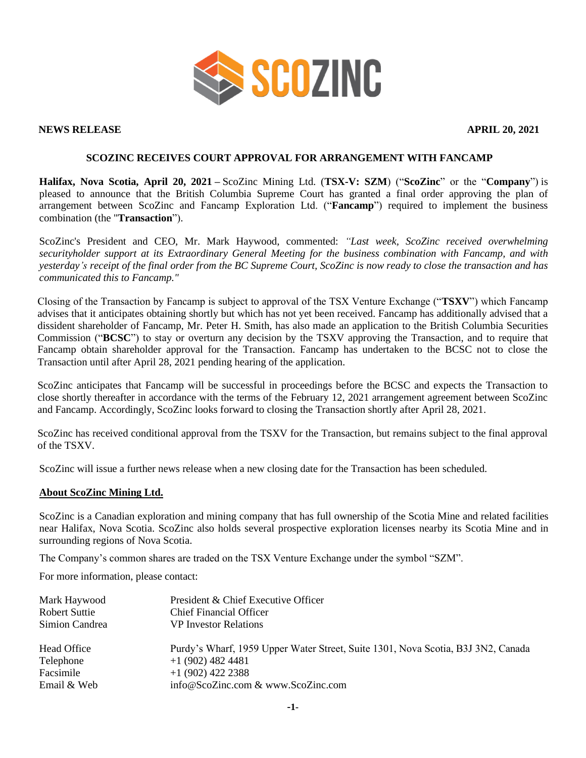

#### **NEWS RELEASE APRIL 20, 2021**

# **SCOZINC RECEIVES COURT APPROVAL FOR ARRANGEMENT WITH FANCAMP**

**Halifax, Nova Scotia, April 20, 2021 –** ScoZinc Mining Ltd. (**TSX-V: SZM**) ("**ScoZinc**" or the "**Company**") is pleased to announce that the British Columbia Supreme Court has granted a final order approving the plan of arrangement between ScoZinc and Fancamp Exploration Ltd. ("**Fancamp**") required to implement the business combination (the "**Transaction**").

ScoZinc's President and CEO, Mr. Mark Haywood, commented: *"Last week, ScoZinc received overwhelming securityholder support at its Extraordinary General Meeting for the business combination with Fancamp, and with yesterday's receipt of the final order from the BC Supreme Court, ScoZinc is now ready to close the transaction and has communicated this to Fancamp."*

Closing of the Transaction by Fancamp is subject to approval of the TSX Venture Exchange ("**TSXV**") which Fancamp advises that it anticipates obtaining shortly but which has not yet been received. Fancamp has additionally advised that a dissident shareholder of Fancamp, Mr. Peter H. Smith, has also made an application to the British Columbia Securities Commission ("**BCSC**") to stay or overturn any decision by the TSXV approving the Transaction, and to require that Fancamp obtain shareholder approval for the Transaction. Fancamp has undertaken to the BCSC not to close the Transaction until after April 28, 2021 pending hearing of the application.

ScoZinc anticipates that Fancamp will be successful in proceedings before the BCSC and expects the Transaction to close shortly thereafter in accordance with the terms of the February 12, 2021 arrangement agreement between ScoZinc and Fancamp. Accordingly, ScoZinc looks forward to closing the Transaction shortly after April 28, 2021.

ScoZinc has received conditional approval from the TSXV for the Transaction, but remains subject to the final approval of the TSXV.

ScoZinc will issue a further news release when a new closing date for the Transaction has been scheduled.

### **About ScoZinc Mining Ltd.**

ScoZinc is a Canadian exploration and mining company that has full ownership of the Scotia Mine and related facilities near Halifax, Nova Scotia. ScoZinc also holds several prospective exploration licenses nearby its Scotia Mine and in surrounding regions of Nova Scotia.

The Company's common shares are traded on the TSX Venture Exchange under the symbol "SZM".

For more information, please contact:

| Mark Haywood         | President & Chief Executive Officer                                              |
|----------------------|----------------------------------------------------------------------------------|
| <b>Robert Suttie</b> | <b>Chief Financial Officer</b>                                                   |
| Simion Candrea       | <b>VP</b> Investor Relations                                                     |
| Head Office          | Purdy's Wharf, 1959 Upper Water Street, Suite 1301, Nova Scotia, B3J 3N2, Canada |
| Telephone            | $+1$ (902) 482 4481                                                              |
| Facsimile            | $+1$ (902) 422 2388                                                              |
| Email & Web          | info@ScoZinc.com & www.ScoZinc.com                                               |